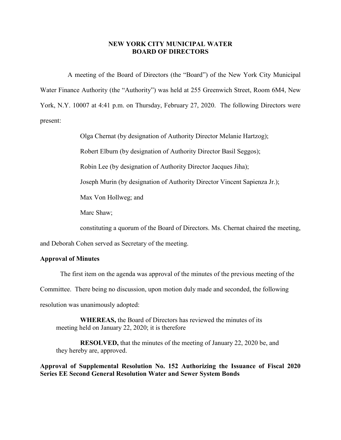## **NEW YORK CITY MUNICIPAL WATER BOARD OF DIRECTORS**

A meeting of the Board of Directors (the "Board") of the New York City Municipal Water Finance Authority (the "Authority") was held at 255 Greenwich Street, Room 6M4, New York, N.Y. 10007 at 4:41 p.m. on Thursday, February 27, 2020. The following Directors were present:

Olga Chernat (by designation of Authority Director Melanie Hartzog);

Robert Elburn (by designation of Authority Director Basil Seggos);

Robin Lee (by designation of Authority Director Jacques Jiha);

Joseph Murin (by designation of Authority Director Vincent Sapienza Jr.);

Max Von Hollweg; and

Marc Shaw;

constituting a quorum of the Board of Directors. Ms. Chernat chaired the meeting,

and Deborah Cohen served as Secretary of the meeting.

## **Approval of Minutes**

The first item on the agenda was approval of the minutes of the previous meeting of the Committee. There being no discussion, upon motion duly made and seconded, the following resolution was unanimously adopted:

**WHEREAS,** the Board of Directors has reviewed the minutes of its meeting held on January 22, 2020; it is therefore

**RESOLVED,** that the minutes of the meeting of January 22, 2020 be, and they hereby are, approved.

**Approval of Supplemental Resolution No. 152 Authorizing the Issuance of Fiscal 2020 Series EE Second General Resolution Water and Sewer System Bonds**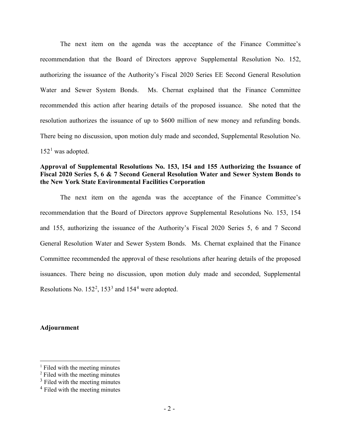The next item on the agenda was the acceptance of the Finance Committee's recommendation that the Board of Directors approve Supplemental Resolution No. 152, authorizing the issuance of the Authority's Fiscal 2020 Series EE Second General Resolution Water and Sewer System Bonds. Ms. Chernat explained that the Finance Committee recommended this action after hearing details of the proposed issuance. She noted that the resolution authorizes the issuance of up to \$600 million of new money and refunding bonds. There being no discussion, upon motion duly made and seconded, Supplemental Resolution No.  $152<sup>1</sup>$  $152<sup>1</sup>$  was adopted.

## **Approval of Supplemental Resolutions No. 153, 154 and 155 Authorizing the Issuance of Fiscal 2020 Series 5, 6 & 7 Second General Resolution Water and Sewer System Bonds to the New York State Environmental Facilities Corporation**

The next item on the agenda was the acceptance of the Finance Committee's recommendation that the Board of Directors approve Supplemental Resolutions No. 153, 154 and 155, authorizing the issuance of the Authority's Fiscal 2020 Series 5, 6 and 7 Second General Resolution Water and Sewer System Bonds. Ms. Chernat explained that the Finance Committee recommended the approval of these resolutions after hearing details of the proposed issuances. There being no discussion, upon motion duly made and seconded, Supplemental Resolutions No.  $152^2$  $152^2$  $152^2$ ,  $153^3$  $153^3$  $153^3$  and  $154^4$  $154^4$  $154^4$  were adopted.

## **Adjournment**

<span id="page-1-0"></span> $<sup>1</sup>$  Filed with the meeting minutes</sup>

<span id="page-1-1"></span><sup>2</sup> Filed with the meeting minutes

<span id="page-1-2"></span> $3$  Filed with the meeting minutes

<span id="page-1-3"></span><sup>4</sup> Filed with the meeting minutes